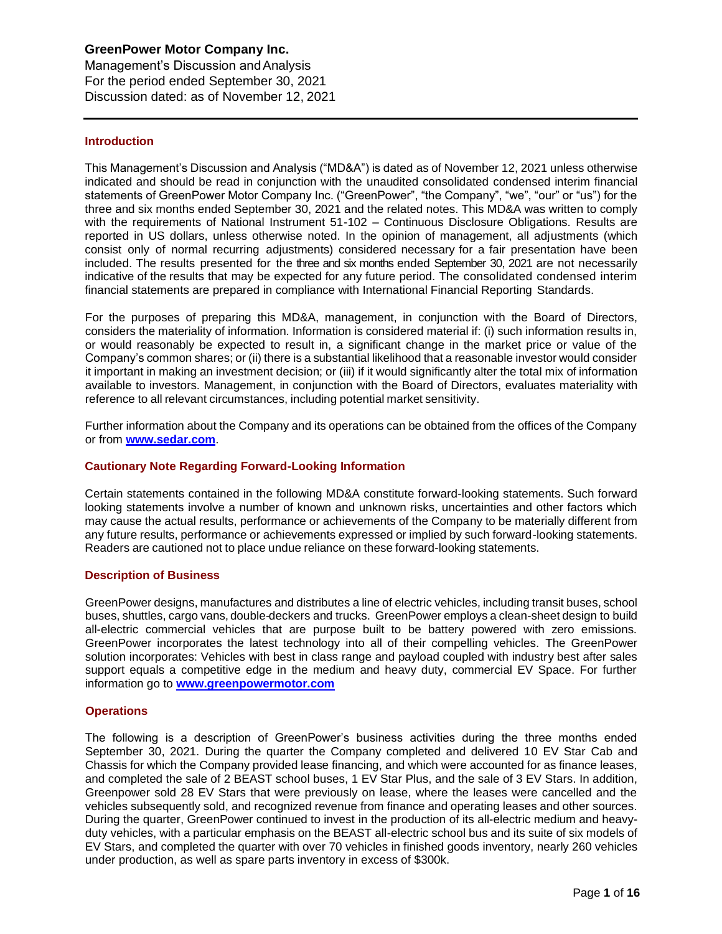Management's Discussion andAnalysis For the period ended September 30, 2021 Discussion dated: as of November 12, 2021

### **Introduction**

This Management's Discussion and Analysis ("MD&A") is dated as of November 12, 2021 unless otherwise indicated and should be read in conjunction with the unaudited consolidated condensed interim financial statements of GreenPower Motor Company Inc. ("GreenPower", "the Company", "we", "our" or "us") for the three and six months ended September 30, 2021 and the related notes. This MD&A was written to comply with the requirements of National Instrument 51-102 – Continuous Disclosure Obligations. Results are reported in US dollars, unless otherwise noted. In the opinion of management, all adjustments (which consist only of normal recurring adjustments) considered necessary for a fair presentation have been included. The results presented for the three and six months ended September 30, 2021 are not necessarily indicative of the results that may be expected for any future period. The consolidated condensed interim financial statements are prepared in compliance with International Financial Reporting Standards.

For the purposes of preparing this MD&A, management, in conjunction with the Board of Directors, considers the materiality of information. Information is considered material if: (i) such information results in, or would reasonably be expected to result in, a significant change in the market price or value of the Company's common shares; or (ii) there is a substantial likelihood that a reasonable investor would consider it important in making an investment decision; or (iii) if it would significantly alter the total mix of information available to investors. Management, in conjunction with the Board of Directors, evaluates materiality with reference to all relevant circumstances, including potential market sensitivity.

Further information about the Company and its operations can be obtained from the offices of the Company or from **[www.sedar.com](http://www.sedar.com/)**.

### **Cautionary Note Regarding Forward-Looking Information**

Certain statements contained in the following MD&A constitute forward-looking statements. Such forward looking statements involve a number of known and unknown risks, uncertainties and other factors which may cause the actual results, performance or achievements of the Company to be materially different from any future results, performance or achievements expressed or implied by such forward-looking statements. Readers are cautioned not to place undue reliance on these forward-looking statements.

### **Description of Business**

GreenPower designs, manufactures and distributes a line of electric vehicles, including transit buses, school buses, shuttles, cargo vans, double-deckers and trucks. GreenPower employs a clean-sheet design to build all-electric commercial vehicles that are purpose built to be battery powered with zero emissions. GreenPower incorporates the latest technology into all of their compelling vehicles. The GreenPower solution incorporates: Vehicles with best in class range and payload coupled with industry best after sales support equals a competitive edge in the medium and heavy duty, commercial EV Space. For further information go to **[www.greenpowermotor.com](http://www.greenpowermotor.com/)**

### **Operations**

The following is a description of GreenPower's business activities during the three months ended September 30, 2021. During the quarter the Company completed and delivered 10 EV Star Cab and Chassis for which the Company provided lease financing, and which were accounted for as finance leases, and completed the sale of 2 BEAST school buses, 1 EV Star Plus, and the sale of 3 EV Stars. In addition, Greenpower sold 28 EV Stars that were previously on lease, where the leases were cancelled and the vehicles subsequently sold, and recognized revenue from finance and operating leases and other sources. During the quarter, GreenPower continued to invest in the production of its all-electric medium and heavyduty vehicles, with a particular emphasis on the BEAST all-electric school bus and its suite of six models of EV Stars, and completed the quarter with over 70 vehicles in finished goods inventory, nearly 260 vehicles under production, as well as spare parts inventory in excess of \$300k.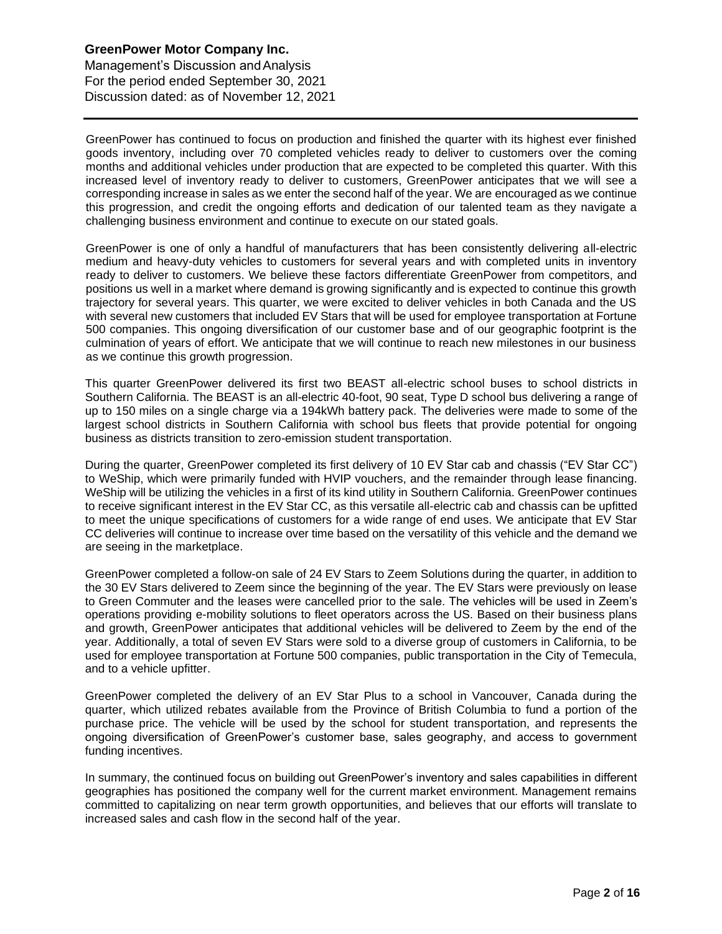Management's Discussion andAnalysis For the period ended September 30, 2021 Discussion dated: as of November 12, 2021

GreenPower has continued to focus on production and finished the quarter with its highest ever finished goods inventory, including over 70 completed vehicles ready to deliver to customers over the coming months and additional vehicles under production that are expected to be completed this quarter. With this increased level of inventory ready to deliver to customers, GreenPower anticipates that we will see a corresponding increase in sales as we enter the second half of the year. We are encouraged as we continue this progression, and credit the ongoing efforts and dedication of our talented team as they navigate a challenging business environment and continue to execute on our stated goals.

GreenPower is one of only a handful of manufacturers that has been consistently delivering all-electric medium and heavy-duty vehicles to customers for several years and with completed units in inventory ready to deliver to customers. We believe these factors differentiate GreenPower from competitors, and positions us well in a market where demand is growing significantly and is expected to continue this growth trajectory for several years. This quarter, we were excited to deliver vehicles in both Canada and the US with several new customers that included EV Stars that will be used for employee transportation at Fortune 500 companies. This ongoing diversification of our customer base and of our geographic footprint is the culmination of years of effort. We anticipate that we will continue to reach new milestones in our business as we continue this growth progression.

This quarter GreenPower delivered its first two BEAST all-electric school buses to school districts in Southern California. The BEAST is an all-electric 40-foot, 90 seat, Type D school bus delivering a range of up to 150 miles on a single charge via a 194kWh battery pack. The deliveries were made to some of the largest school districts in Southern California with school bus fleets that provide potential for ongoing business as districts transition to zero-emission student transportation.

During the quarter, GreenPower completed its first delivery of 10 EV Star cab and chassis ("EV Star CC") to WeShip, which were primarily funded with HVIP vouchers, and the remainder through lease financing. WeShip will be utilizing the vehicles in a first of its kind utility in Southern California. GreenPower continues to receive significant interest in the EV Star CC, as this versatile all-electric cab and chassis can be upfitted to meet the unique specifications of customers for a wide range of end uses. We anticipate that EV Star CC deliveries will continue to increase over time based on the versatility of this vehicle and the demand we are seeing in the marketplace.

GreenPower completed a follow-on sale of 24 EV Stars to Zeem Solutions during the quarter, in addition to the 30 EV Stars delivered to Zeem since the beginning of the year. The EV Stars were previously on lease to Green Commuter and the leases were cancelled prior to the sale. The vehicles will be used in Zeem's operations providing e-mobility solutions to fleet operators across the US. Based on their business plans and growth, GreenPower anticipates that additional vehicles will be delivered to Zeem by the end of the year. Additionally, a total of seven EV Stars were sold to a diverse group of customers in California, to be used for employee transportation at Fortune 500 companies, public transportation in the City of Temecula, and to a vehicle upfitter.

GreenPower completed the delivery of an EV Star Plus to a school in Vancouver, Canada during the quarter, which utilized rebates available from the Province of British Columbia to fund a portion of the purchase price. The vehicle will be used by the school for student transportation, and represents the ongoing diversification of GreenPower's customer base, sales geography, and access to government funding incentives.

In summary, the continued focus on building out GreenPower's inventory and sales capabilities in different geographies has positioned the company well for the current market environment. Management remains committed to capitalizing on near term growth opportunities, and believes that our efforts will translate to increased sales and cash flow in the second half of the year.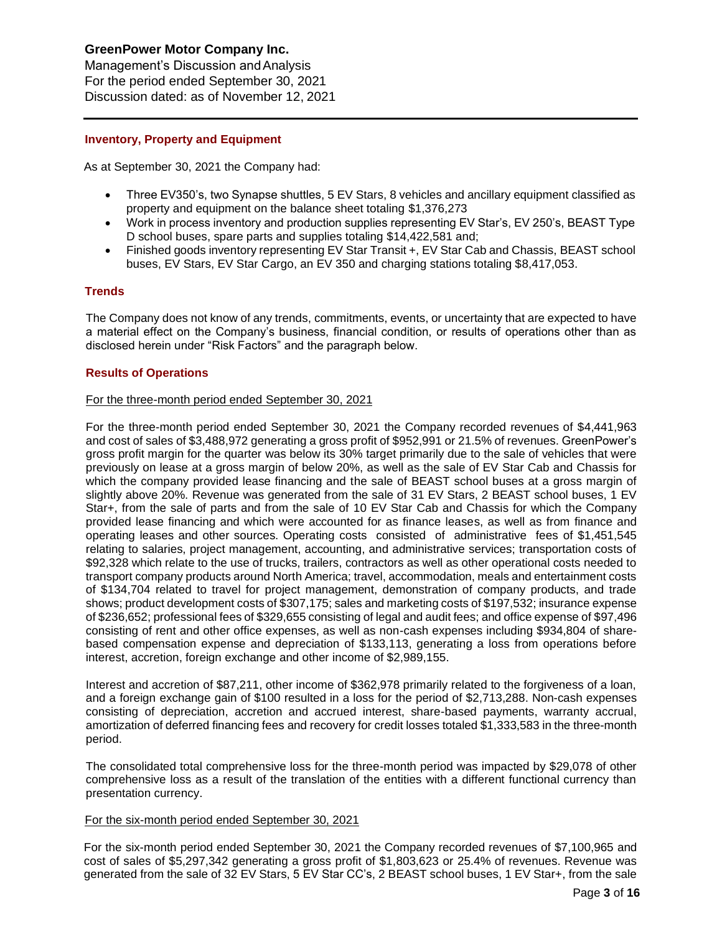Management's Discussion andAnalysis For the period ended September 30, 2021 Discussion dated: as of November 12, 2021

### **Inventory, Property and Equipment**

As at September 30, 2021 the Company had:

- Three EV350's, two Synapse shuttles, 5 EV Stars, 8 vehicles and ancillary equipment classified as property and equipment on the balance sheet totaling \$1,376,273
- Work in process inventory and production supplies representing EV Star's, EV 250's, BEAST Type D school buses, spare parts and supplies totaling \$14,422,581 and;
- Finished goods inventory representing EV Star Transit +, EV Star Cab and Chassis, BEAST school buses, EV Stars, EV Star Cargo, an EV 350 and charging stations totaling \$8,417,053.

### **Trends**

The Company does not know of any trends, commitments, events, or uncertainty that are expected to have a material effect on the Company's business, financial condition, or results of operations other than as disclosed herein under "Risk Factors" and the paragraph below.

### **Results of Operations**

### For the three-month period ended September 30, 2021

For the three-month period ended September 30, 2021 the Company recorded revenues of \$4,441,963 and cost of sales of \$3,488,972 generating a gross profit of \$952,991 or 21.5% of revenues. GreenPower's gross profit margin for the quarter was below its 30% target primarily due to the sale of vehicles that were previously on lease at a gross margin of below 20%, as well as the sale of EV Star Cab and Chassis for which the company provided lease financing and the sale of BEAST school buses at a gross margin of slightly above 20%. Revenue was generated from the sale of 31 EV Stars, 2 BEAST school buses, 1 EV Star+, from the sale of parts and from the sale of 10 EV Star Cab and Chassis for which the Company provided lease financing and which were accounted for as finance leases, as well as from finance and operating leases and other sources. Operating costs consisted of administrative fees of \$1,451,545 relating to salaries, project management, accounting, and administrative services; transportation costs of \$92,328 which relate to the use of trucks, trailers, contractors as well as other operational costs needed to transport company products around North America; travel, accommodation, meals and entertainment costs of \$134,704 related to travel for project management, demonstration of company products, and trade shows; product development costs of \$307,175; sales and marketing costs of \$197,532; insurance expense of \$236,652; professional fees of \$329,655 consisting of legal and audit fees; and office expense of \$97,496 consisting of rent and other office expenses, as well as non-cash expenses including \$934,804 of sharebased compensation expense and depreciation of \$133,113, generating a loss from operations before interest, accretion, foreign exchange and other income of \$2,989,155.

Interest and accretion of \$87,211, other income of \$362,978 primarily related to the forgiveness of a loan, and a foreign exchange gain of \$100 resulted in a loss for the period of \$2,713,288. Non-cash expenses consisting of depreciation, accretion and accrued interest, share-based payments, warranty accrual, amortization of deferred financing fees and recovery for credit losses totaled \$1,333,583 in the three-month period.

The consolidated total comprehensive loss for the three-month period was impacted by \$29,078 of other comprehensive loss as a result of the translation of the entities with a different functional currency than presentation currency.

### For the six-month period ended September 30, 2021

For the six-month period ended September 30, 2021 the Company recorded revenues of \$7,100,965 and cost of sales of \$5,297,342 generating a gross profit of \$1,803,623 or 25.4% of revenues. Revenue was generated from the sale of 32 EV Stars, 5 EV Star CC's, 2 BEAST school buses, 1 EV Star+, from the sale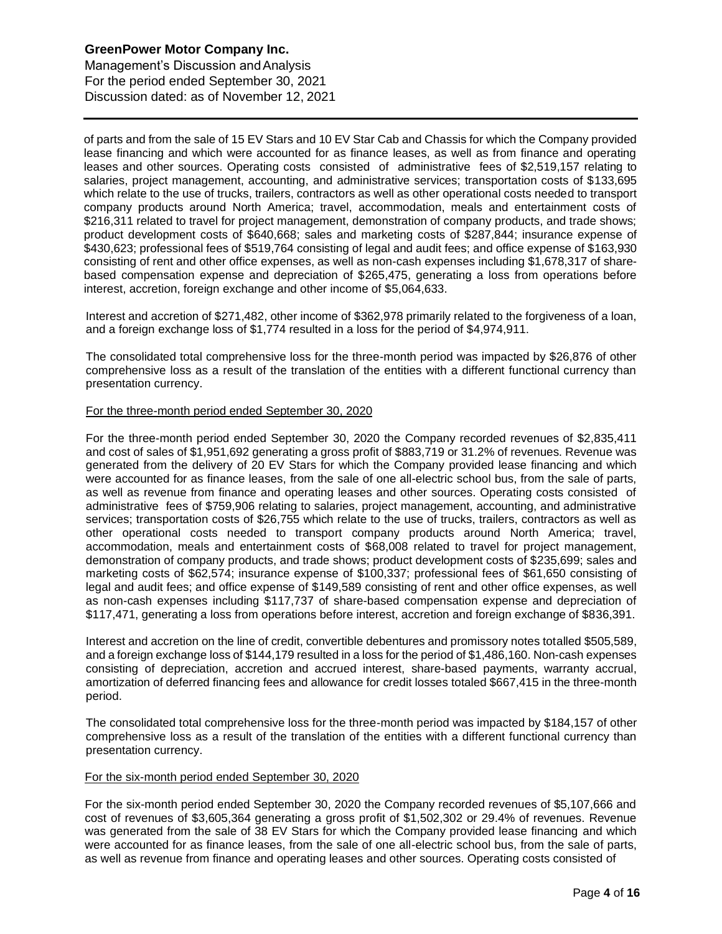Management's Discussion andAnalysis For the period ended September 30, 2021 Discussion dated: as of November 12, 2021

of parts and from the sale of 15 EV Stars and 10 EV Star Cab and Chassis for which the Company provided lease financing and which were accounted for as finance leases, as well as from finance and operating leases and other sources. Operating costs consisted of administrative fees of \$2,519,157 relating to salaries, project management, accounting, and administrative services; transportation costs of \$133,695 which relate to the use of trucks, trailers, contractors as well as other operational costs needed to transport company products around North America; travel, accommodation, meals and entertainment costs of \$216,311 related to travel for project management, demonstration of company products, and trade shows; product development costs of \$640,668; sales and marketing costs of \$287,844; insurance expense of \$430,623; professional fees of \$519,764 consisting of legal and audit fees; and office expense of \$163,930 consisting of rent and other office expenses, as well as non-cash expenses including \$1,678,317 of sharebased compensation expense and depreciation of \$265,475, generating a loss from operations before interest, accretion, foreign exchange and other income of \$5,064,633.

Interest and accretion of \$271,482, other income of \$362,978 primarily related to the forgiveness of a loan, and a foreign exchange loss of \$1,774 resulted in a loss for the period of \$4,974,911.

The consolidated total comprehensive loss for the three-month period was impacted by \$26,876 of other comprehensive loss as a result of the translation of the entities with a different functional currency than presentation currency.

### For the three-month period ended September 30, 2020

For the three-month period ended September 30, 2020 the Company recorded revenues of \$2,835,411 and cost of sales of \$1,951,692 generating a gross profit of \$883,719 or 31.2% of revenues. Revenue was generated from the delivery of 20 EV Stars for which the Company provided lease financing and which were accounted for as finance leases, from the sale of one all-electric school bus, from the sale of parts, as well as revenue from finance and operating leases and other sources. Operating costs consisted of administrative fees of \$759,906 relating to salaries, project management, accounting, and administrative services; transportation costs of \$26,755 which relate to the use of trucks, trailers, contractors as well as other operational costs needed to transport company products around North America; travel, accommodation, meals and entertainment costs of \$68,008 related to travel for project management, demonstration of company products, and trade shows; product development costs of \$235,699; sales and marketing costs of \$62,574; insurance expense of \$100,337; professional fees of \$61,650 consisting of legal and audit fees; and office expense of \$149,589 consisting of rent and other office expenses, as well as non-cash expenses including \$117,737 of share-based compensation expense and depreciation of \$117,471, generating a loss from operations before interest, accretion and foreign exchange of \$836,391.

Interest and accretion on the line of credit, convertible debentures and promissory notes totalled \$505,589, and a foreign exchange loss of \$144,179 resulted in a loss for the period of \$1,486,160. Non-cash expenses consisting of depreciation, accretion and accrued interest, share-based payments, warranty accrual, amortization of deferred financing fees and allowance for credit losses totaled \$667,415 in the three-month period.

The consolidated total comprehensive loss for the three-month period was impacted by \$184,157 of other comprehensive loss as a result of the translation of the entities with a different functional currency than presentation currency.

### For the six-month period ended September 30, 2020

For the six-month period ended September 30, 2020 the Company recorded revenues of \$5,107,666 and cost of revenues of \$3,605,364 generating a gross profit of \$1,502,302 or 29.4% of revenues. Revenue was generated from the sale of 38 EV Stars for which the Company provided lease financing and which were accounted for as finance leases, from the sale of one all-electric school bus, from the sale of parts, as well as revenue from finance and operating leases and other sources. Operating costs consisted of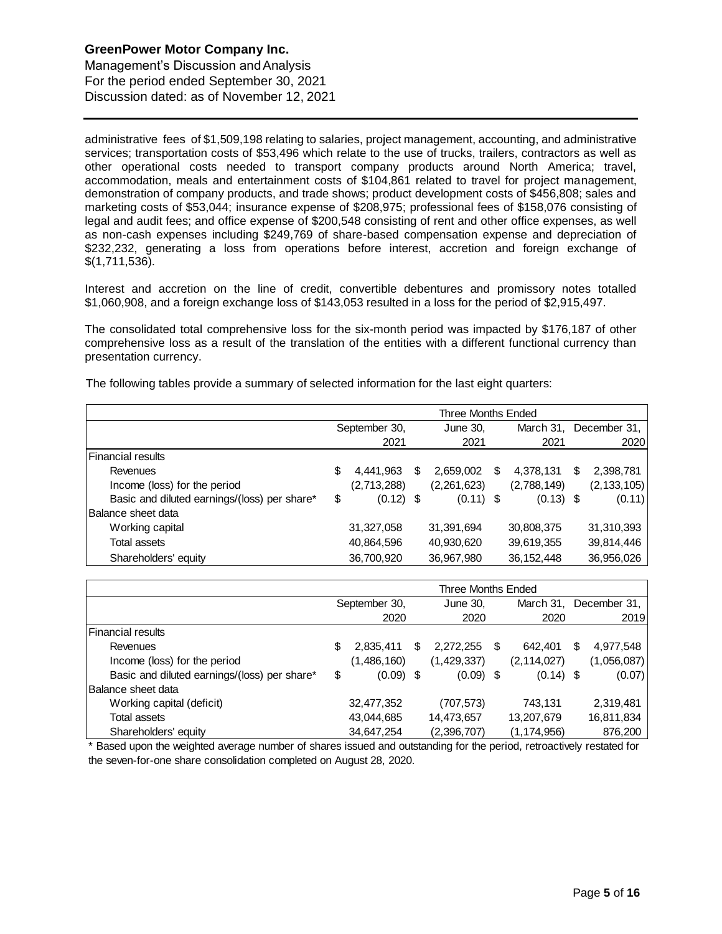Management's Discussion andAnalysis For the period ended September 30, 2021 Discussion dated: as of November 12, 2021

administrative fees of \$1,509,198 relating to salaries, project management, accounting, and administrative services; transportation costs of \$53,496 which relate to the use of trucks, trailers, contractors as well as other operational costs needed to transport company products around North America; travel, accommodation, meals and entertainment costs of \$104,861 related to travel for project management, demonstration of company products, and trade shows; product development costs of \$456,808; sales and marketing costs of \$53,044; insurance expense of \$208,975; professional fees of \$158,076 consisting of legal and audit fees; and office expense of \$200,548 consisting of rent and other office expenses, as well as non-cash expenses including \$249,769 of share-based compensation expense and depreciation of \$232,232, generating a loss from operations before interest, accretion and foreign exchange of \$(1,711,536).

Interest and accretion on the line of credit, convertible debentures and promissory notes totalled \$1,060,908, and a foreign exchange loss of \$143,053 resulted in a loss for the period of \$2,915,497.

The consolidated total comprehensive loss for the six-month period was impacted by \$176,187 of other comprehensive loss as a result of the translation of the entities with a different functional currency than presentation currency.

The following tables provide a summary of selected information for the last eight quarters:

|                                              | Three Months Ended |             |   |             |   |              |   |               |
|----------------------------------------------|--------------------|-------------|---|-------------|---|--------------|---|---------------|
|                                              | September 30,      |             |   | June 30,    |   | March 31,    |   | December 31,  |
|                                              |                    | 2021        |   | 2021        |   | 2021         |   | 2020          |
| l Financial results                          |                    |             |   |             |   |              |   |               |
| Revenues                                     | S                  | 4,441,963   | S | 2,659,002   | S | 4,378,131    | S | 2,398,781     |
| Income (loss) for the period                 |                    | (2,713,288) |   | (2,261,623) |   | (2,788,149)  |   | (2, 133, 105) |
| Basic and diluted earnings/(loss) per share* | \$                 | $(0.12)$ \$ |   | $(0.11)$ \$ |   | $(0.13)$ \$  |   | (0.11)        |
| Balance sheet data                           |                    |             |   |             |   |              |   |               |
| Working capital                              |                    | 31,327,058  |   | 31,391,694  |   | 30,808,375   |   | 31,310,393    |
| Total assets                                 |                    | 40,864,596  |   | 40,930,620  |   | 39,619,355   |   | 39,814,446    |
| Shareholders' equity                         |                    | 36,700,920  |   | 36,967,980  |   | 36, 152, 448 |   | 36,956,026    |

|                                              | Three Months Ended |               |      |             |      |               |   |                |
|----------------------------------------------|--------------------|---------------|------|-------------|------|---------------|---|----------------|
|                                              |                    | September 30, |      | June 30,    |      | March 31,     |   | December 31, I |
|                                              |                    | 2020          | 2020 |             | 2020 |               |   | 2019           |
| l Financial results                          |                    |               |      |             |      |               |   |                |
| Revenues                                     | S                  | 2,835,411     | S    | 2,272,255   | \$   | 642,401       | S | 4,977,548      |
| Income (loss) for the period                 |                    | (1,486,160)   |      | (1,429,337) |      | (2, 114, 027) |   | (1,056,087)    |
| Basic and diluted earnings/(loss) per share* | \$                 | $(0.09)$ \$   |      | $(0.09)$ \$ |      | $(0.14)$ \$   |   | (0.07)         |
| Balance sheet data                           |                    |               |      |             |      |               |   |                |
| Working capital (deficit)                    |                    | 32,477,352    |      | (707, 573)  |      | 743,131       |   | 2,319,481      |
| Total assets                                 |                    | 43,044,685    |      | 14,473,657  |      | 13,207,679    |   | 16,811,834     |
| Shareholders' equity                         |                    | 34,647,254    |      | (2,396,707) |      | (1, 174, 956) |   | 876,200        |

\* Based upon the weighted average number of shares issued and outstanding for the period, retroactively restated for the seven-for-one share consolidation completed on August 28, 2020.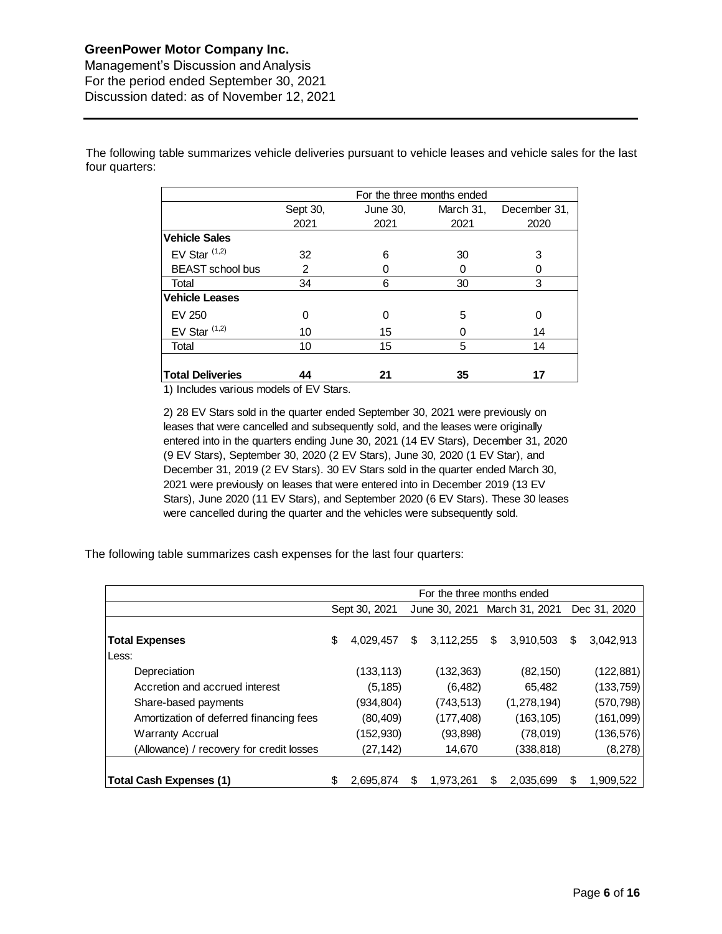Management's Discussion andAnalysis For the period ended September 30, 2021 Discussion dated: as of November 12, 2021

|                         |          | For the three months ended |           |              |
|-------------------------|----------|----------------------------|-----------|--------------|
|                         | Sept 30, | June 30,                   | March 31, | December 31, |
|                         | 2021     | 2021                       | 2021      | 2020         |
| <b>Vehicle Sales</b>    |          |                            |           |              |
| EV Star $(1,2)$         | 32       | 6                          | 30        | 3            |
| <b>BEAST</b> school bus | 2        |                            |           |              |
| Total                   | 34       | 6                          | 30        | 3            |
| <b>Vehicle Leases</b>   |          |                            |           |              |
| EV 250                  | 0        | 0                          | 5         |              |
| EV Star $(1,2)$         | 10       | 15                         |           | 14           |
| Total                   | 10       | 15                         | 5         | 14           |
| <b>Total Deliveries</b> | 44       | 21                         | 35        | 17           |

The following table summarizes vehicle deliveries pursuant to vehicle leases and vehicle sales for the last four quarters:

1) Includes various models of EV Stars.

2) 28 EV Stars sold in the quarter ended September 30, 2021 were previously on leases that were cancelled and subsequently sold, and the leases were originally entered into in the quarters ending June 30, 2021 (14 EV Stars), December 31, 2020 (9 EV Stars), September 30, 2020 (2 EV Stars), June 30, 2020 (1 EV Star), and December 31, 2019 (2 EV Stars). 30 EV Stars sold in the quarter ended March 30, 2021 were previously on leases that were entered into in December 2019 (13 EV Stars), June 2020 (11 EV Stars), and September 2020 (6 EV Stars). These 30 leases were cancelled during the quarter and the vehicles were subsequently sold.

The following table summarizes cash expenses for the last four quarters:

|                                          | For the three months ended |               |   |            |                              |             |   |              |
|------------------------------------------|----------------------------|---------------|---|------------|------------------------------|-------------|---|--------------|
|                                          |                            | Sept 30, 2021 |   |            | June 30, 2021 March 31, 2021 |             |   | Dec 31, 2020 |
| <b>Total Expenses</b>                    | \$                         | 4.029.457     | S | 3,112,255  | \$                           | 3.910.503   | S | 3,042,913    |
| Less:                                    |                            |               |   |            |                              |             |   |              |
| Depreciation                             |                            | (133, 113)    |   | (132, 363) |                              | (82, 150)   |   | (122, 881)   |
| Accretion and accrued interest           |                            | (5, 185)      |   | (6, 482)   |                              | 65,482      |   | (133, 759)   |
| Share-based payments                     |                            | (934, 804)    |   | (743, 513) |                              | (1,278,194) |   | (570,798)    |
| Amortization of deferred financing fees  |                            | (80, 409)     |   | (177, 408) |                              | (163, 105)  |   | (161,099)    |
| <b>Warranty Accrual</b>                  |                            | (152, 930)    |   | (93, 898)  |                              | (78,019)    |   | (136, 576)   |
| (Allowance) / recovery for credit losses |                            | (27, 142)     |   | 14,670     |                              | (338, 818)  |   | (8,278)      |
|                                          |                            |               |   |            |                              |             |   |              |
| <b>Total Cash Expenses (1)</b>           | S                          | 2,695,874     | S | 1,973,261  | S                            | 2,035,699   | S | 1,909,522    |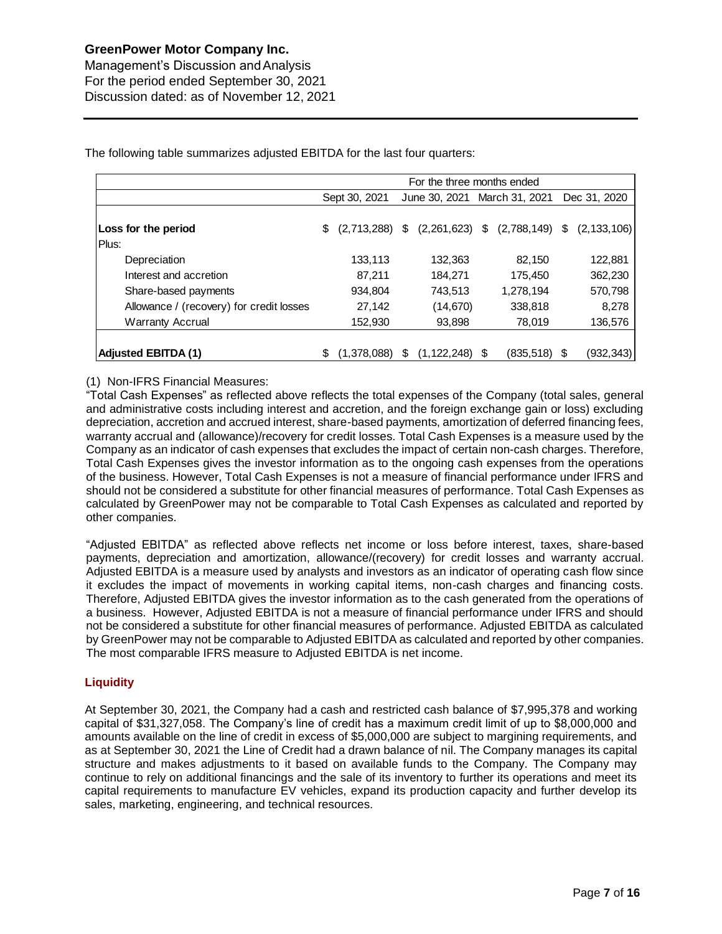Management's Discussion andAnalysis For the period ended September 30, 2021 Discussion dated: as of November 12, 2021

|                                          | For the three months ended |             |    |               |                              |                                |    |               |
|------------------------------------------|----------------------------|-------------|----|---------------|------------------------------|--------------------------------|----|---------------|
|                                          | Sept 30, 2021              |             |    |               | June 30, 2021 March 31, 2021 |                                |    | Dec 31, 2020  |
| Loss for the period                      | \$                         | (2,713,288) | S. |               |                              | $(2,261,623)$ \$ $(2,788,149)$ | \$ | (2, 133, 106) |
| Plus:                                    |                            |             |    |               |                              |                                |    |               |
| Depreciation                             |                            | 133,113     |    | 132,363       |                              | 82,150                         |    | 122,881       |
| Interest and accretion                   |                            | 87,211      |    | 184,271       |                              | 175,450                        |    | 362,230       |
| Share-based payments                     |                            | 934,804     |    | 743,513       |                              | 1,278,194                      |    | 570,798       |
| Allowance / (recovery) for credit losses |                            | 27,142      |    | (14, 670)     |                              | 338,818                        |    | 8,278         |
| <b>Warranty Accrual</b>                  |                            | 152,930     |    | 93,898        |                              | 78,019                         |    | 136,576       |
|                                          |                            |             |    |               |                              |                                |    |               |
| <b>Adjusted EBITDA (1)</b>               | \$                         | (1.378.088) | S  | (1, 122, 248) | S                            | (835,518)                      |    | (932, 343)    |

The following table summarizes adjusted EBITDA for the last four quarters:

### (1) Non-IFRS Financial Measures:

"Total Cash Expenses" as reflected above reflects the total expenses of the Company (total sales, general and administrative costs including interest and accretion, and the foreign exchange gain or loss) excluding depreciation, accretion and accrued interest, share-based payments, amortization of deferred financing fees, warranty accrual and (allowance)/recovery for credit losses. Total Cash Expenses is a measure used by the Company as an indicator of cash expenses that excludes the impact of certain non-cash charges. Therefore, Total Cash Expenses gives the investor information as to the ongoing cash expenses from the operations of the business. However, Total Cash Expenses is not a measure of financial performance under IFRS and should not be considered a substitute for other financial measures of performance. Total Cash Expenses as calculated by GreenPower may not be comparable to Total Cash Expenses as calculated and reported by other companies.

"Adjusted EBITDA" as reflected above reflects net income or loss before interest, taxes, share-based payments, depreciation and amortization, allowance/(recovery) for credit losses and warranty accrual. Adjusted EBITDA is a measure used by analysts and investors as an indicator of operating cash flow since it excludes the impact of movements in working capital items, non-cash charges and financing costs. Therefore, Adjusted EBITDA gives the investor information as to the cash generated from the operations of a business. However, Adjusted EBITDA is not a measure of financial performance under IFRS and should not be considered a substitute for other financial measures of performance. Adjusted EBITDA as calculated by GreenPower may not be comparable to Adjusted EBITDA as calculated and reported by other companies. The most comparable IFRS measure to Adjusted EBITDA is net income.

### **Liquidity**

At September 30, 2021, the Company had a cash and restricted cash balance of \$7,995,378 and working capital of \$31,327,058. The Company's line of credit has a maximum credit limit of up to \$8,000,000 and amounts available on the line of credit in excess of \$5,000,000 are subject to margining requirements, and as at September 30, 2021 the Line of Credit had a drawn balance of nil. The Company manages its capital structure and makes adjustments to it based on available funds to the Company. The Company may continue to rely on additional financings and the sale of its inventory to further its operations and meet its capital requirements to manufacture EV vehicles, expand its production capacity and further develop its sales, marketing, engineering, and technical resources.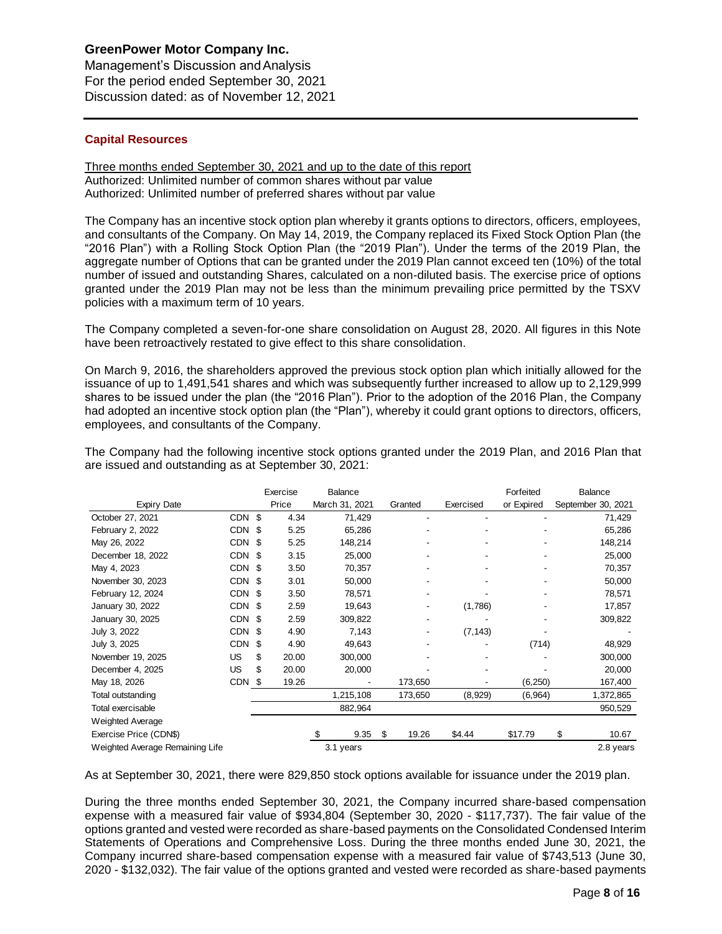Management's Discussion andAnalysis For the period ended September 30, 2021 Discussion dated: as of November 12, 2021

### **Capital Resources**

### Three months ended September 30, 2021 and up to the date of this report Authorized: Unlimited number of common shares without par value Authorized: Unlimited number of preferred shares without par value

The Company has an incentive stock option plan whereby it grants options to directors, officers, employees, and consultants of the Company. On May 14, 2019, the Company replaced its Fixed Stock Option Plan (the "2016 Plan") with a Rolling Stock Option Plan (the "2019 Plan"). Under the terms of the 2019 Plan, the aggregate number of Options that can be granted under the 2019 Plan cannot exceed ten (10%) of the total number of issued and outstanding Shares, calculated on a non-diluted basis. The exercise price of options granted under the 2019 Plan may not be less than the minimum prevailing price permitted by the TSXV policies with a maximum term of 10 years.

The Company completed a seven-for-one share consolidation on August 28, 2020. All figures in this Note have been retroactively restated to give effect to this share consolidation.

On March 9, 2016, the shareholders approved the previous stock option plan which initially allowed for the issuance of up to 1,491,541 shares and which was subsequently further increased to allow up to 2,129,999 shares to be issued under the plan (the "2016 Plan"). Prior to the adoption of the 2016 Plan, the Company had adopted an incentive stock option plan (the "Plan"), whereby it could grant options to directors, officers, employees, and consultants of the Company.

The Company had the following incentive stock options granted under the 2019 Plan, and 2016 Plan that are issued and outstanding as at September 30, 2021:

|                                 |            | Exercise    | Balance        |             |           | Forfeited  | Balance            |
|---------------------------------|------------|-------------|----------------|-------------|-----------|------------|--------------------|
| <b>Expiry Date</b>              |            | Price       | March 31, 2021 | Granted     | Exercised | or Expired | September 30, 2021 |
| October 27, 2021                | <b>CDN</b> | \$<br>4.34  | 71,429         |             |           |            | 71,429             |
| February 2, 2022                | <b>CDN</b> | \$<br>5.25  | 65,286         |             |           |            | 65,286             |
| May 26, 2022                    | <b>CDN</b> | \$<br>5.25  | 148,214        |             |           |            | 148,214            |
| December 18, 2022               | <b>CDN</b> | \$<br>3.15  | 25,000         |             |           |            | 25,000             |
| May 4, 2023                     | CDN        | \$<br>3.50  | 70,357         |             |           |            | 70,357             |
| November 30, 2023               | <b>CDN</b> | \$<br>3.01  | 50,000         |             |           |            | 50,000             |
| February 12, 2024               | <b>CDN</b> | \$<br>3.50  | 78,571         |             |           |            | 78,571             |
| January 30, 2022                | CDN        | \$<br>2.59  | 19,643         |             | (1,786)   |            | 17,857             |
| January 30, 2025                | CDN        | \$<br>2.59  | 309,822        |             |           |            | 309,822            |
| July 3, 2022                    | <b>CDN</b> | \$<br>4.90  | 7,143          |             | (7, 143)  |            |                    |
| July 3, 2025                    | <b>CDN</b> | \$<br>4.90  | 49,643         |             |           | (714)      | 48,929             |
| November 19, 2025               | US         | \$<br>20.00 | 300,000        |             |           |            | 300,000            |
| December 4, 2025                | US         | \$<br>20.00 | 20,000         |             |           |            | 20,000             |
| May 18, 2026                    | CDN \$     | 19.26       |                | 173,650     |           | (6, 250)   | 167,400            |
| Total outstanding               |            |             | 1,215,108      | 173,650     | (8,929)   | (6,964)    | 1,372,865          |
| Total exercisable               |            |             | 882,964        |             |           |            | 950,529            |
| <b>Weighted Average</b>         |            |             |                |             |           |            |                    |
| Exercise Price (CDN\$)          |            |             | 9.35           | \$<br>19.26 | \$4.44    | \$17.79    | \$<br>10.67        |
| Weighted Average Remaining Life |            |             | 3.1 years      |             |           |            | 2.8 years          |

As at September 30, 2021, there were 829,850 stock options available for issuance under the 2019 plan.

During the three months ended September 30, 2021, the Company incurred share-based compensation expense with a measured fair value of \$934,804 (September 30, 2020 - \$117,737). The fair value of the options granted and vested were recorded as share-based payments on the Consolidated Condensed Interim Statements of Operations and Comprehensive Loss. During the three months ended June 30, 2021, the Company incurred share-based compensation expense with a measured fair value of \$743,513 (June 30, 2020 - \$132,032). The fair value of the options granted and vested were recorded as share-based payments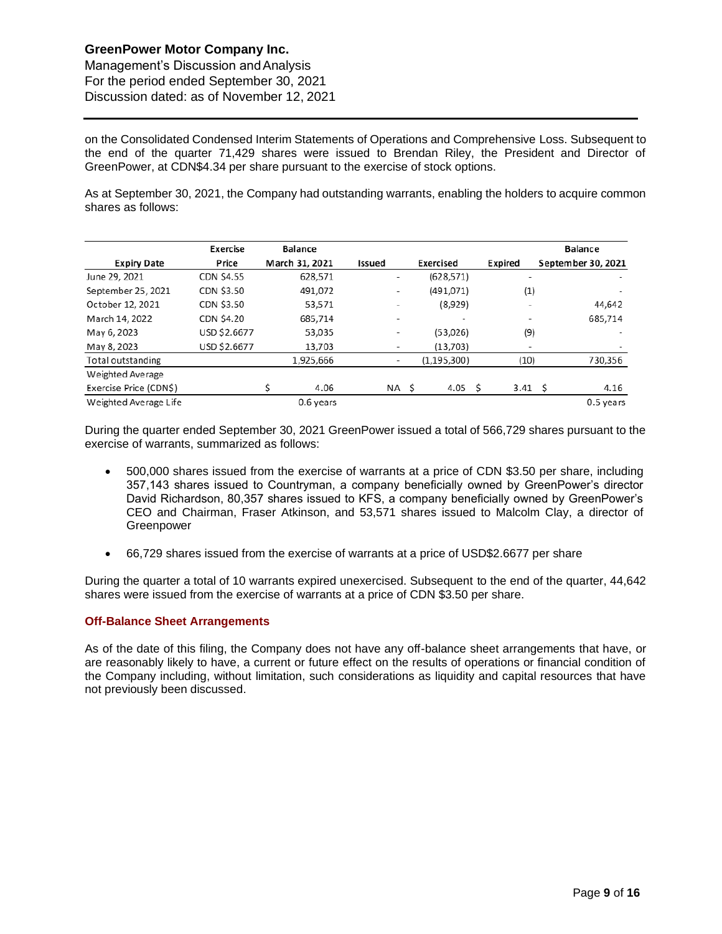Management's Discussion andAnalysis For the period ended September 30, 2021 Discussion dated: as of November 12, 2021

on the Consolidated Condensed Interim Statements of Operations and Comprehensive Loss. Subsequent to the end of the quarter 71,429 shares were issued to Brendan Riley, the President and Director of GreenPower, at CDN\$4.34 per share pursuant to the exercise of stock options.

As at September 30, 2021, the Company had outstanding warrants, enabling the holders to acquire common shares as follows:

|                        | <b>Exercise</b>   | <b>Balance</b> |                          |                   |                          | <b>Balance</b>     |
|------------------------|-------------------|----------------|--------------------------|-------------------|--------------------------|--------------------|
| <b>Expiry Date</b>     | Price             | March 31, 2021 | Issued                   | <b>Exercised</b>  | Expired                  | September 30, 2021 |
| June 29, 2021          | <b>CDN \$4.55</b> | 628,571        | $\overline{\phantom{a}}$ | (628, 571)        |                          |                    |
| September 25, 2021     | CDN \$3.50        | 491,072        | -                        | (491.071)         | (1)                      |                    |
| October 12, 2021       | CDN \$3.50        | 53,571         |                          | (8,929)           | -                        | 44,642             |
| March 14, 2022         | <b>CDN \$4.20</b> | 685,714        |                          |                   |                          | 685,714            |
| May 6, 2023            | USD \$2.6677      | 53,035         | -                        | (53,026)          | (9)                      |                    |
| May 8, 2023            | USD \$2.6677      | 13,703         |                          | (13,703)          | $\overline{\phantom{a}}$ |                    |
| Total outstanding      |                   | 1,925,666      |                          | (1, 195, 300)     | (10)                     | 730,356            |
| Weighted Average       |                   |                |                          |                   |                          |                    |
| Exercise Price (CDN\$) |                   | 4.06           | NA \$                    | 4.05 <sup>5</sup> | $3.41 \quad 5$           | 4.16               |
| Weighted Average Life  |                   | $0.6$ years    |                          |                   |                          | $0.5$ years        |

During the quarter ended September 30, 2021 GreenPower issued a total of 566,729 shares pursuant to the exercise of warrants, summarized as follows:

- 500,000 shares issued from the exercise of warrants at a price of CDN \$3.50 per share, including 357,143 shares issued to Countryman, a company beneficially owned by GreenPower's director David Richardson, 80,357 shares issued to KFS, a company beneficially owned by GreenPower's CEO and Chairman, Fraser Atkinson, and 53,571 shares issued to Malcolm Clay, a director of Greenpower
- 66,729 shares issued from the exercise of warrants at a price of USD\$2.6677 per share

During the quarter a total of 10 warrants expired unexercised. Subsequent to the end of the quarter, 44,642 shares were issued from the exercise of warrants at a price of CDN \$3.50 per share.

### **Off-Balance Sheet Arrangements**

As of the date of this filing, the Company does not have any off-balance sheet arrangements that have, or are reasonably likely to have, a current or future effect on the results of operations or financial condition of the Company including, without limitation, such considerations as liquidity and capital resources that have not previously been discussed.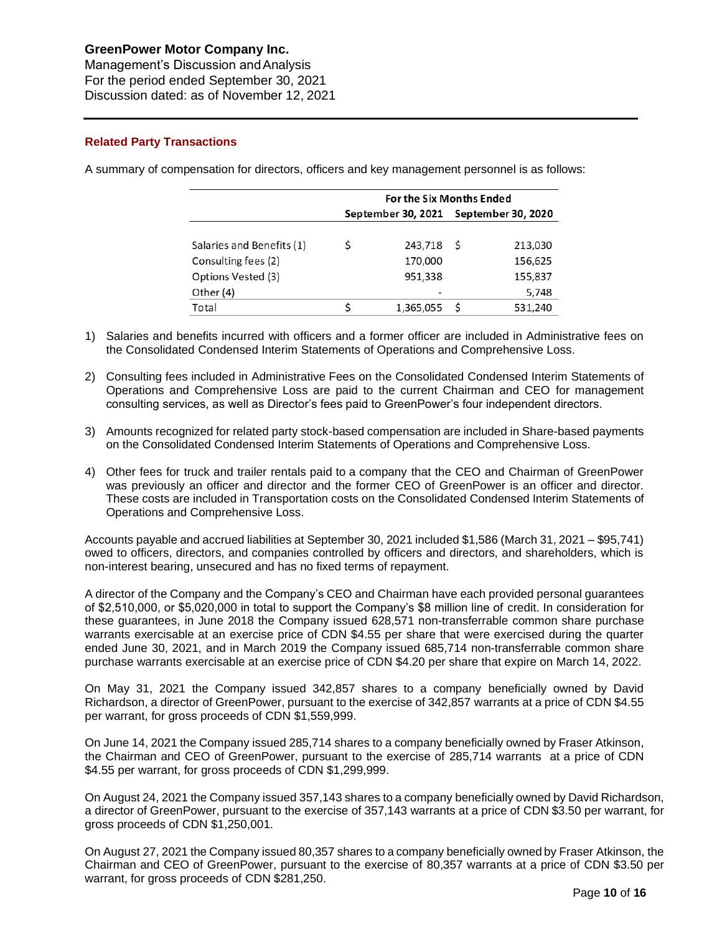Management's Discussion andAnalysis For the period ended September 30, 2021 Discussion dated: as of November 12, 2021

### **Related Party Transactions**

A summary of compensation for directors, officers and key management personnel is as follows:

|                           | For the Six Months Ended |           |                                       |         |  |  |  |  |
|---------------------------|--------------------------|-----------|---------------------------------------|---------|--|--|--|--|
|                           |                          |           | September 30, 2021 September 30, 2020 |         |  |  |  |  |
|                           |                          |           |                                       |         |  |  |  |  |
| Salaries and Benefits (1) |                          | 243,718   | -S                                    | 213,030 |  |  |  |  |
| Consulting fees (2)       |                          | 170,000   |                                       | 156,625 |  |  |  |  |
| Options Vested (3)        |                          | 951,338   |                                       | 155,837 |  |  |  |  |
| Other (4)                 |                          |           |                                       | 5,748   |  |  |  |  |
| Total                     |                          | 1,365,055 | S                                     | 531,240 |  |  |  |  |

- 1) Salaries and benefits incurred with officers and a former officer are included in Administrative fees on the Consolidated Condensed Interim Statements of Operations and Comprehensive Loss.
- 2) Consulting fees included in Administrative Fees on the Consolidated Condensed Interim Statements of Operations and Comprehensive Loss are paid to the current Chairman and CEO for management consulting services, as well as Director's fees paid to GreenPower's four independent directors.
- 3) Amounts recognized for related party stock-based compensation are included in Share-based payments on the Consolidated Condensed Interim Statements of Operations and Comprehensive Loss.
- 4) Other fees for truck and trailer rentals paid to a company that the CEO and Chairman of GreenPower was previously an officer and director and the former CEO of GreenPower is an officer and director. These costs are included in Transportation costs on the Consolidated Condensed Interim Statements of Operations and Comprehensive Loss.

Accounts payable and accrued liabilities at September 30, 2021 included \$1,586 (March 31, 2021 – \$95,741) owed to officers, directors, and companies controlled by officers and directors, and shareholders, which is non-interest bearing, unsecured and has no fixed terms of repayment.

A director of the Company and the Company's CEO and Chairman have each provided personal guarantees of \$2,510,000, or \$5,020,000 in total to support the Company's \$8 million line of credit. In consideration for these guarantees, in June 2018 the Company issued 628,571 non-transferrable common share purchase warrants exercisable at an exercise price of CDN \$4.55 per share that were exercised during the quarter ended June 30, 2021, and in March 2019 the Company issued 685,714 non-transferrable common share purchase warrants exercisable at an exercise price of CDN \$4.20 per share that expire on March 14, 2022.

On May 31, 2021 the Company issued 342,857 shares to a company beneficially owned by David Richardson, a director of GreenPower, pursuant to the exercise of 342,857 warrants at a price of CDN \$4.55 per warrant, for gross proceeds of CDN \$1,559,999.

On June 14, 2021 the Company issued 285,714 shares to a company beneficially owned by Fraser Atkinson, the Chairman and CEO of GreenPower, pursuant to the exercise of 285,714 warrants at a price of CDN \$4.55 per warrant, for gross proceeds of CDN \$1,299,999.

On August 24, 2021 the Company issued 357,143 shares to a company beneficially owned by David Richardson, a director of GreenPower, pursuant to the exercise of 357,143 warrants at a price of CDN \$3.50 per warrant, for gross proceeds of CDN \$1,250,001.

On August 27, 2021 the Company issued 80,357 shares to a company beneficially owned by Fraser Atkinson, the Chairman and CEO of GreenPower, pursuant to the exercise of 80,357 warrants at a price of CDN \$3.50 per warrant, for gross proceeds of CDN \$281,250.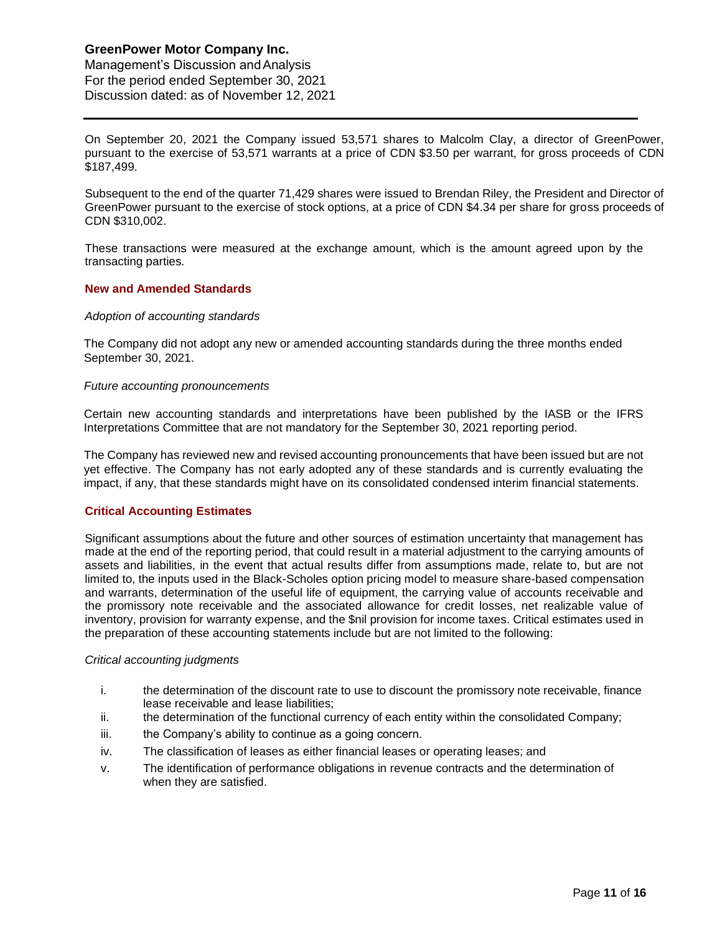Management's Discussion andAnalysis For the period ended September 30, 2021 Discussion dated: as of November 12, 2021

On September 20, 2021 the Company issued 53,571 shares to Malcolm Clay, a director of GreenPower, pursuant to the exercise of 53,571 warrants at a price of CDN \$3.50 per warrant, for gross proceeds of CDN \$187,499.

Subsequent to the end of the quarter 71,429 shares were issued to Brendan Riley, the President and Director of GreenPower pursuant to the exercise of stock options, at a price of CDN \$4.34 per share for gross proceeds of CDN \$310,002.

These transactions were measured at the exchange amount, which is the amount agreed upon by the transacting parties.

### **New and Amended Standards**

#### *Adoption of accounting standards*

The Company did not adopt any new or amended accounting standards during the three months ended September 30, 2021.

#### *Future accounting pronouncements*

Certain new accounting standards and interpretations have been published by the IASB or the IFRS Interpretations Committee that are not mandatory for the September 30, 2021 reporting period.

The Company has reviewed new and revised accounting pronouncements that have been issued but are not yet effective. The Company has not early adopted any of these standards and is currently evaluating the impact, if any, that these standards might have on its consolidated condensed interim financial statements.

### **Critical Accounting Estimates**

Significant assumptions about the future and other sources of estimation uncertainty that management has made at the end of the reporting period, that could result in a material adjustment to the carrying amounts of assets and liabilities, in the event that actual results differ from assumptions made, relate to, but are not limited to, the inputs used in the Black-Scholes option pricing model to measure share-based compensation and warrants, determination of the useful life of equipment, the carrying value of accounts receivable and the promissory note receivable and the associated allowance for credit losses, net realizable value of inventory, provision for warranty expense, and the \$nil provision for income taxes. Critical estimates used in the preparation of these accounting statements include but are not limited to the following:

#### *Critical accounting judgments*

- i. the determination of the discount rate to use to discount the promissory note receivable, finance lease receivable and lease liabilities;
- ii. the determination of the functional currency of each entity within the consolidated Company;
- iii. the Company's ability to continue as a going concern.
- iv. The classification of leases as either financial leases or operating leases; and
- v. The identification of performance obligations in revenue contracts and the determination of when they are satisfied.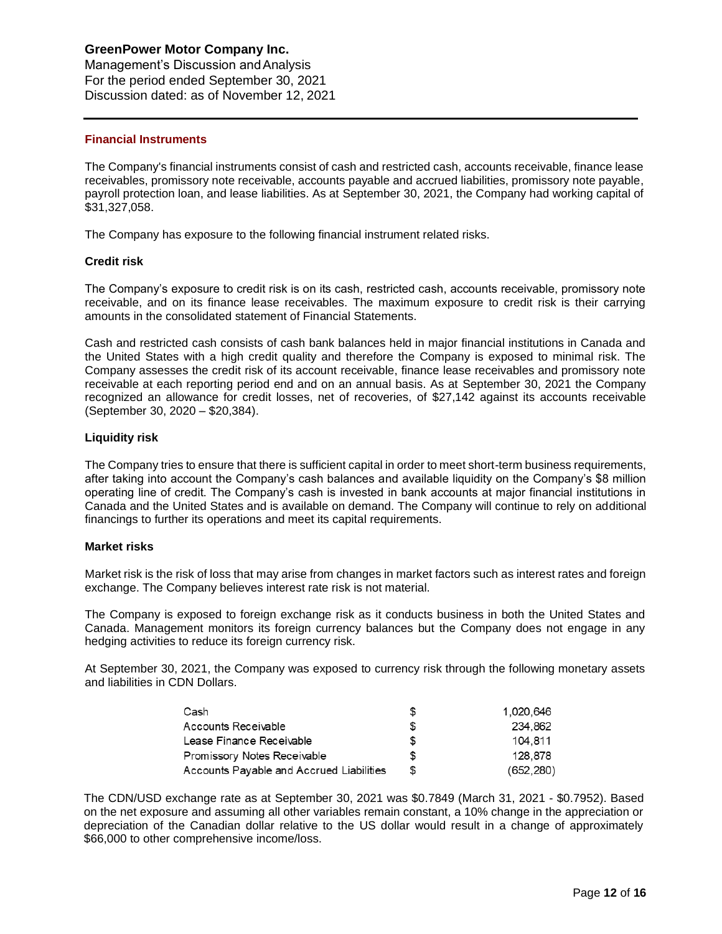Management's Discussion andAnalysis For the period ended September 30, 2021 Discussion dated: as of November 12, 2021

### **Financial Instruments**

The Company's financial instruments consist of cash and restricted cash, accounts receivable, finance lease receivables, promissory note receivable, accounts payable and accrued liabilities, promissory note payable, payroll protection loan, and lease liabilities. As at September 30, 2021, the Company had working capital of \$31,327,058.

The Company has exposure to the following financial instrument related risks.

### **Credit risk**

The Company's exposure to credit risk is on its cash, restricted cash, accounts receivable, promissory note receivable, and on its finance lease receivables. The maximum exposure to credit risk is their carrying amounts in the consolidated statement of Financial Statements.

Cash and restricted cash consists of cash bank balances held in major financial institutions in Canada and the United States with a high credit quality and therefore the Company is exposed to minimal risk. The Company assesses the credit risk of its account receivable, finance lease receivables and promissory note receivable at each reporting period end and on an annual basis. As at September 30, 2021 the Company recognized an allowance for credit losses, net of recoveries, of \$27,142 against its accounts receivable (September 30, 2020 – \$20,384).

### **Liquidity risk**

The Company tries to ensure that there is sufficient capital in order to meet short-term business requirements, after taking into account the Company's cash balances and available liquidity on the Company's \$8 million operating line of credit. The Company's cash is invested in bank accounts at major financial institutions in Canada and the United States and is available on demand. The Company will continue to rely on additional financings to further its operations and meet its capital requirements.

### **Market risks**

Market risk is the risk of loss that may arise from changes in market factors such as interest rates and foreign exchange. The Company believes interest rate risk is not material.

The Company is exposed to foreign exchange risk as it conducts business in both the United States and Canada. Management monitors its foreign currency balances but the Company does not engage in any hedging activities to reduce its foreign currency risk.

At September 30, 2021, the Company was exposed to currency risk through the following monetary assets and liabilities in CDN Dollars.

| Cash                                     | S  | 1.020.646 |
|------------------------------------------|----|-----------|
| Accounts Receivable                      | S  | 234.862   |
| Lease Finance Receivable                 | S  | 104.811   |
| Promissory Notes Receivable              | £. | 128.878   |
| Accounts Payable and Accrued Liabilities | \$ | (652.280) |

The CDN/USD exchange rate as at September 30, 2021 was \$0.7849 (March 31, 2021 - \$0.7952). Based on the net exposure and assuming all other variables remain constant, a 10% change in the appreciation or depreciation of the Canadian dollar relative to the US dollar would result in a change of approximately \$66,000 to other comprehensive income/loss.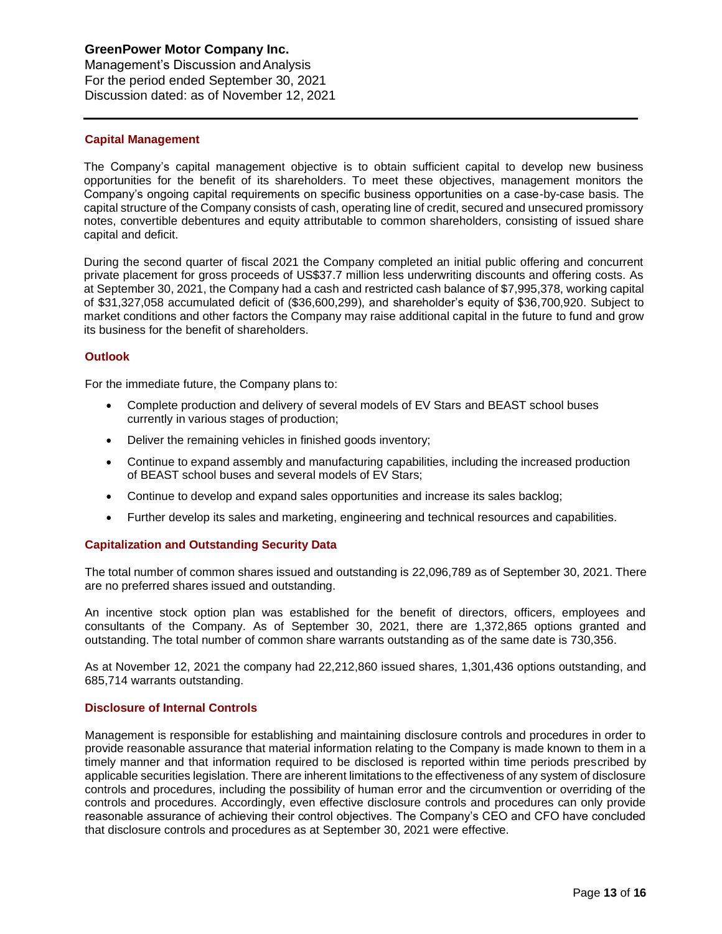Management's Discussion andAnalysis For the period ended September 30, 2021 Discussion dated: as of November 12, 2021

### **Capital Management**

The Company's capital management objective is to obtain sufficient capital to develop new business opportunities for the benefit of its shareholders. To meet these objectives, management monitors the Company's ongoing capital requirements on specific business opportunities on a case-by-case basis. The capital structure of the Company consists of cash, operating line of credit, secured and unsecured promissory notes, convertible debentures and equity attributable to common shareholders, consisting of issued share capital and deficit.

During the second quarter of fiscal 2021 the Company completed an initial public offering and concurrent private placement for gross proceeds of US\$37.7 million less underwriting discounts and offering costs. As at September 30, 2021, the Company had a cash and restricted cash balance of \$7,995,378, working capital of \$31,327,058 accumulated deficit of (\$36,600,299), and shareholder's equity of \$36,700,920. Subject to market conditions and other factors the Company may raise additional capital in the future to fund and grow its business for the benefit of shareholders.

### **Outlook**

For the immediate future, the Company plans to:

- Complete production and delivery of several models of EV Stars and BEAST school buses currently in various stages of production;
- Deliver the remaining vehicles in finished goods inventory;
- Continue to expand assembly and manufacturing capabilities, including the increased production of BEAST school buses and several models of EV Stars;
- Continue to develop and expand sales opportunities and increase its sales backlog;
- Further develop its sales and marketing, engineering and technical resources and capabilities.

### **Capitalization and Outstanding Security Data**

The total number of common shares issued and outstanding is 22,096,789 as of September 30, 2021. There are no preferred shares issued and outstanding.

An incentive stock option plan was established for the benefit of directors, officers, employees and consultants of the Company. As of September 30, 2021, there are 1,372,865 options granted and outstanding. The total number of common share warrants outstanding as of the same date is 730,356.

As at November 12, 2021 the company had 22,212,860 issued shares, 1,301,436 options outstanding, and 685,714 warrants outstanding.

### **Disclosure of Internal Controls**

Management is responsible for establishing and maintaining disclosure controls and procedures in order to provide reasonable assurance that material information relating to the Company is made known to them in a timely manner and that information required to be disclosed is reported within time periods prescribed by applicable securities legislation. There are inherent limitations to the effectiveness of any system of disclosure controls and procedures, including the possibility of human error and the circumvention or overriding of the controls and procedures. Accordingly, even effective disclosure controls and procedures can only provide reasonable assurance of achieving their control objectives. The Company's CEO and CFO have concluded that disclosure controls and procedures as at September 30, 2021 were effective.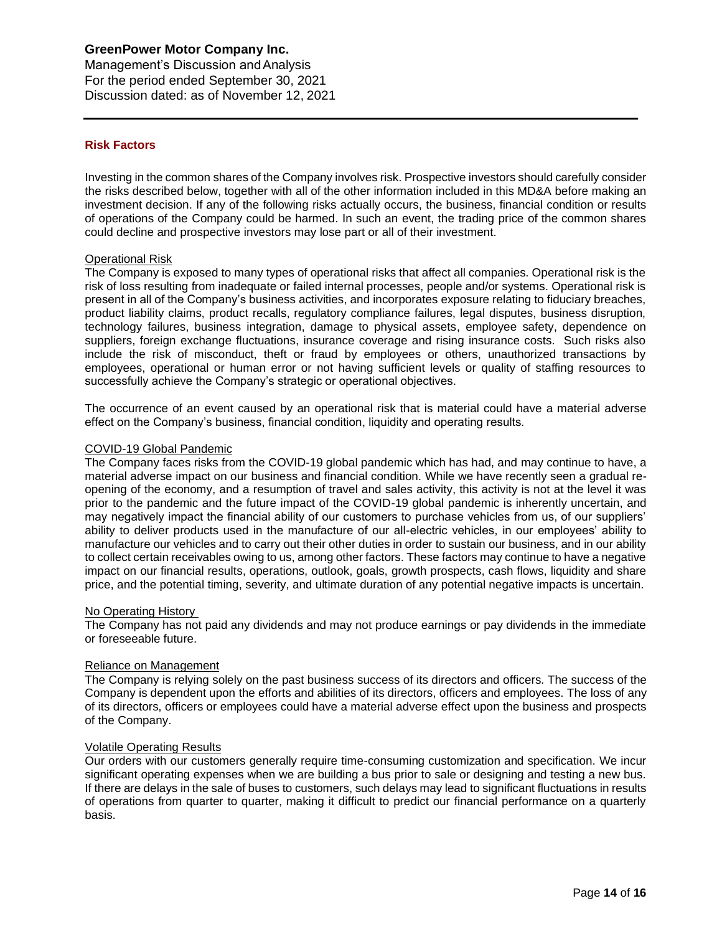Management's Discussion andAnalysis For the period ended September 30, 2021 Discussion dated: as of November 12, 2021

### **Risk Factors**

Investing in the common shares of the Company involves risk. Prospective investors should carefully consider the risks described below, together with all of the other information included in this MD&A before making an investment decision. If any of the following risks actually occurs, the business, financial condition or results of operations of the Company could be harmed. In such an event, the trading price of the common shares could decline and prospective investors may lose part or all of their investment.

### Operational Risk

The Company is exposed to many types of operational risks that affect all companies. Operational risk is the risk of loss resulting from inadequate or failed internal processes, people and/or systems. Operational risk is present in all of the Company's business activities, and incorporates exposure relating to fiduciary breaches, product liability claims, product recalls, regulatory compliance failures, legal disputes, business disruption, technology failures, business integration, damage to physical assets, employee safety, dependence on suppliers, foreign exchange fluctuations, insurance coverage and rising insurance costs. Such risks also include the risk of misconduct, theft or fraud by employees or others, unauthorized transactions by employees, operational or human error or not having sufficient levels or quality of staffing resources to successfully achieve the Company's strategic or operational objectives.

The occurrence of an event caused by an operational risk that is material could have a material adverse effect on the Company's business, financial condition, liquidity and operating results.

### COVID-19 Global Pandemic

The Company faces risks from the COVID-19 global pandemic which has had, and may continue to have, a material adverse impact on our business and financial condition. While we have recently seen a gradual reopening of the economy, and a resumption of travel and sales activity, this activity is not at the level it was prior to the pandemic and the future impact of the COVID-19 global pandemic is inherently uncertain, and may negatively impact the financial ability of our customers to purchase vehicles from us, of our suppliers' ability to deliver products used in the manufacture of our all-electric vehicles, in our employees' ability to manufacture our vehicles and to carry out their other duties in order to sustain our business, and in our ability to collect certain receivables owing to us, among other factors. These factors may continue to have a negative impact on our financial results, operations, outlook, goals, growth prospects, cash flows, liquidity and share price, and the potential timing, severity, and ultimate duration of any potential negative impacts is uncertain.

#### No Operating History

The Company has not paid any dividends and may not produce earnings or pay dividends in the immediate or foreseeable future.

### Reliance on Management

The Company is relying solely on the past business success of its directors and officers. The success of the Company is dependent upon the efforts and abilities of its directors, officers and employees. The loss of any of its directors, officers or employees could have a material adverse effect upon the business and prospects of the Company.

#### Volatile Operating Results

Our orders with our customers generally require time-consuming customization and specification. We incur significant operating expenses when we are building a bus prior to sale or designing and testing a new bus. If there are delays in the sale of buses to customers, such delays may lead to significant fluctuations in results of operations from quarter to quarter, making it difficult to predict our financial performance on a quarterly basis.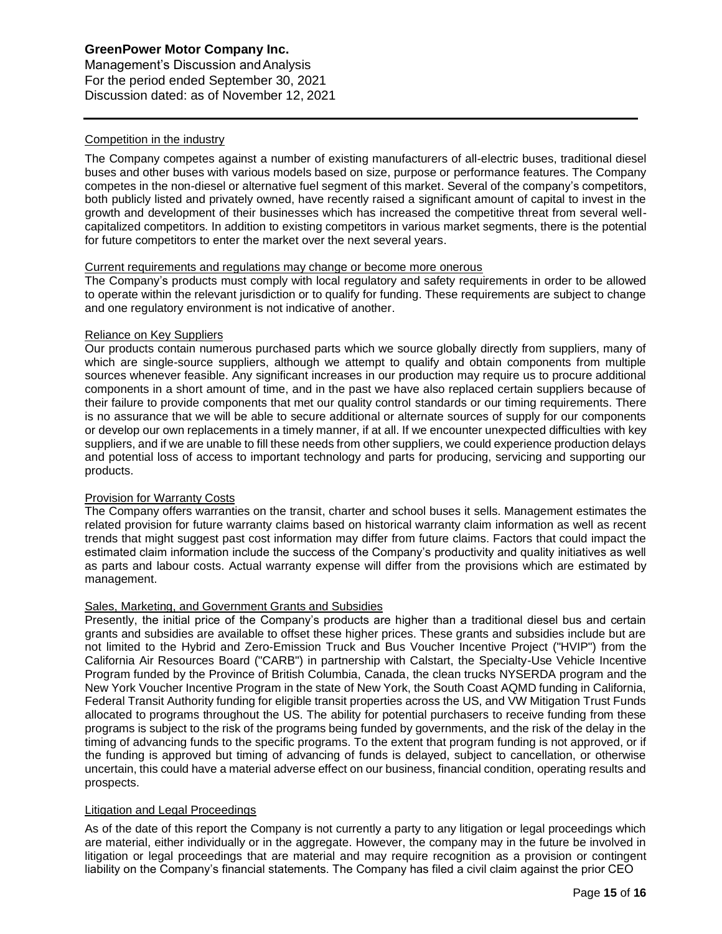Management's Discussion andAnalysis For the period ended September 30, 2021 Discussion dated: as of November 12, 2021

### Competition in the industry

The Company competes against a number of existing manufacturers of all-electric buses, traditional diesel buses and other buses with various models based on size, purpose or performance features. The Company competes in the non-diesel or alternative fuel segment of this market. Several of the company's competitors, both publicly listed and privately owned, have recently raised a significant amount of capital to invest in the growth and development of their businesses which has increased the competitive threat from several wellcapitalized competitors. In addition to existing competitors in various market segments, there is the potential for future competitors to enter the market over the next several years.

#### Current requirements and regulations may change or become more onerous

The Company's products must comply with local regulatory and safety requirements in order to be allowed to operate within the relevant jurisdiction or to qualify for funding. These requirements are subject to change and one regulatory environment is not indicative of another.

### Reliance on Key Suppliers

Our products contain numerous purchased parts which we source globally directly from suppliers, many of which are single-source suppliers, although we attempt to qualify and obtain components from multiple sources whenever feasible. Any significant increases in our production may require us to procure additional components in a short amount of time, and in the past we have also replaced certain suppliers because of their failure to provide components that met our quality control standards or our timing requirements. There is no assurance that we will be able to secure additional or alternate sources of supply for our components or develop our own replacements in a timely manner, if at all. If we encounter unexpected difficulties with key suppliers, and if we are unable to fill these needs from other suppliers, we could experience production delays and potential loss of access to important technology and parts for producing, servicing and supporting our products.

### Provision for Warranty Costs

The Company offers warranties on the transit, charter and school buses it sells. Management estimates the related provision for future warranty claims based on historical warranty claim information as well as recent trends that might suggest past cost information may differ from future claims. Factors that could impact the estimated claim information include the success of the Company's productivity and quality initiatives as well as parts and labour costs. Actual warranty expense will differ from the provisions which are estimated by management.

### Sales, Marketing, and Government Grants and Subsidies

Presently, the initial price of the Company's products are higher than a traditional diesel bus and certain grants and subsidies are available to offset these higher prices. These grants and subsidies include but are not limited to the Hybrid and Zero-Emission Truck and Bus Voucher Incentive Project ("HVIP") from the California Air Resources Board ("CARB") in partnership with Calstart, the Specialty-Use Vehicle Incentive Program funded by the Province of British Columbia, Canada, the clean trucks NYSERDA program and the New York Voucher Incentive Program in the state of New York, the South Coast AQMD funding in California, Federal Transit Authority funding for eligible transit properties across the US, and VW Mitigation Trust Funds allocated to programs throughout the US. The ability for potential purchasers to receive funding from these programs is subject to the risk of the programs being funded by governments, and the risk of the delay in the timing of advancing funds to the specific programs. To the extent that program funding is not approved, or if the funding is approved but timing of advancing of funds is delayed, subject to cancellation, or otherwise uncertain, this could have a material adverse effect on our business, financial condition, operating results and prospects.

### Litigation and Legal Proceedings

As of the date of this report the Company is not currently a party to any litigation or legal proceedings which are material, either individually or in the aggregate. However, the company may in the future be involved in litigation or legal proceedings that are material and may require recognition as a provision or contingent liability on the Company's financial statements. The Company has filed a civil claim against the prior CEO